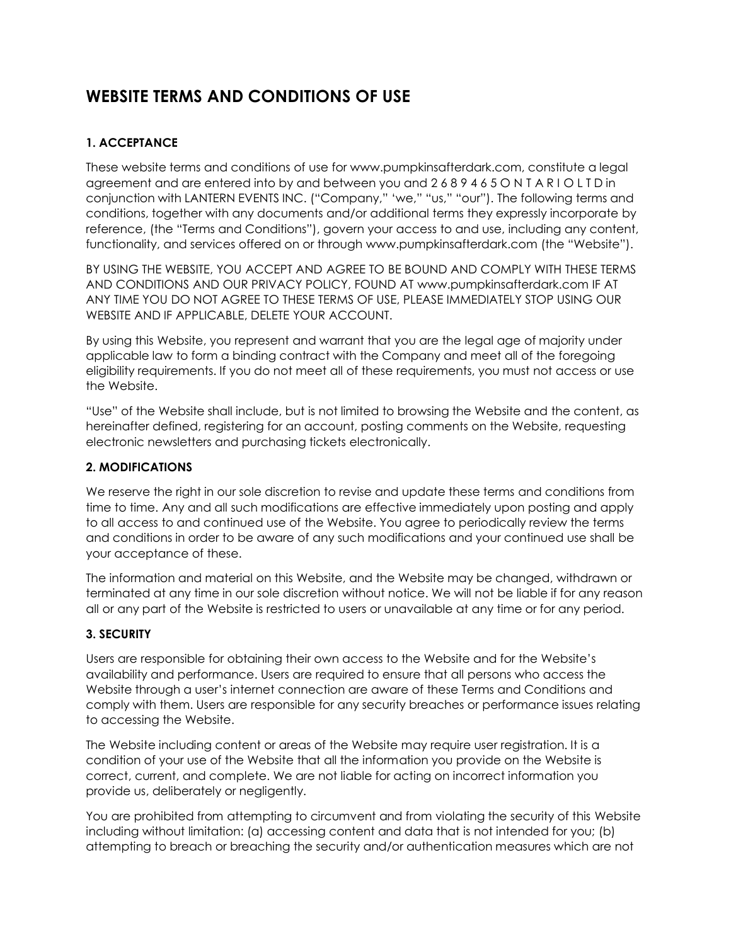# **WEBSITE TERMS AND CONDITIONS OF USE**

# **1. ACCEPTANCE**

These website terms and conditions of use for www.pumpkinsafterdark.com, constitute a legal agreement and are entered into by and between you and 2 6 8 9 4 6 5 O N T A R I O L T D in conjunction with LANTERN EVENTS INC. ("Company," 'we," "us," "our"). The following terms and conditions, together with any documents and/or additional terms they expressly incorporate by reference, (the "Terms and Conditions"), govern your access to and use, including any content, functionality, and services offered on or through www.pumpkinsafterdark.com (the "Website").

BY USING THE WEBSITE, YOU ACCEPT AND AGREE TO BE BOUND AND COMPLY WITH THESE TERMS AND CONDITIONS AND OUR PRIVACY POLICY, FOUND AT www.pumpkinsafterdark.com IF AT ANY TIME YOU DO NOT AGREE TO THESE TERMS OF USE, PLEASE IMMEDIATELY STOP USING OUR WEBSITE AND IF APPLICABLE, DELETE YOUR ACCOUNT.

By using this Website, you represent and warrant that you are the legal age of majority under applicable law to form a binding contract with the Company and meet all of the foregoing eligibility requirements. If you do not meet all of these requirements, you must not access or use the Website.

"Use" of the Website shall include, but is not limited to browsing the Website and the content, as hereinafter defined, registering for an account, posting comments on the Website, requesting electronic newsletters and purchasing tickets electronically.

#### **2. MODIFICATIONS**

We reserve the right in our sole discretion to revise and update these terms and conditions from time to time. Any and all such modifications are effective immediately upon posting and apply to all access to and continued use of the Website. You agree to periodically review the terms and conditions in order to be aware of any such modifications and your continued use shall be your acceptance of these.

The information and material on this Website, and the Website may be changed, withdrawn or terminated at any time in our sole discretion without notice. We will not be liable if for any reason all or any part of the Website is restricted to users or unavailable at any time or for any period.

## **3. SECURITY**

Users are responsible for obtaining their own access to the Website and for the Website's availability and performance. Users are required to ensure that all persons who access the Website through a user's internet connection are aware of these Terms and Conditions and comply with them. Users are responsible for any security breaches or performance issues relating to accessing the Website.

The Website including content or areas of the Website may require user registration. It is a condition of your use of the Website that all the information you provide on the Website is correct, current, and complete. We are not liable for acting on incorrect information you provide us, deliberately or negligently.

You are prohibited from attempting to circumvent and from violating the security of this Website including without limitation: (a) accessing content and data that is not intended for you; (b) attempting to breach or breaching the security and/or authentication measures which are not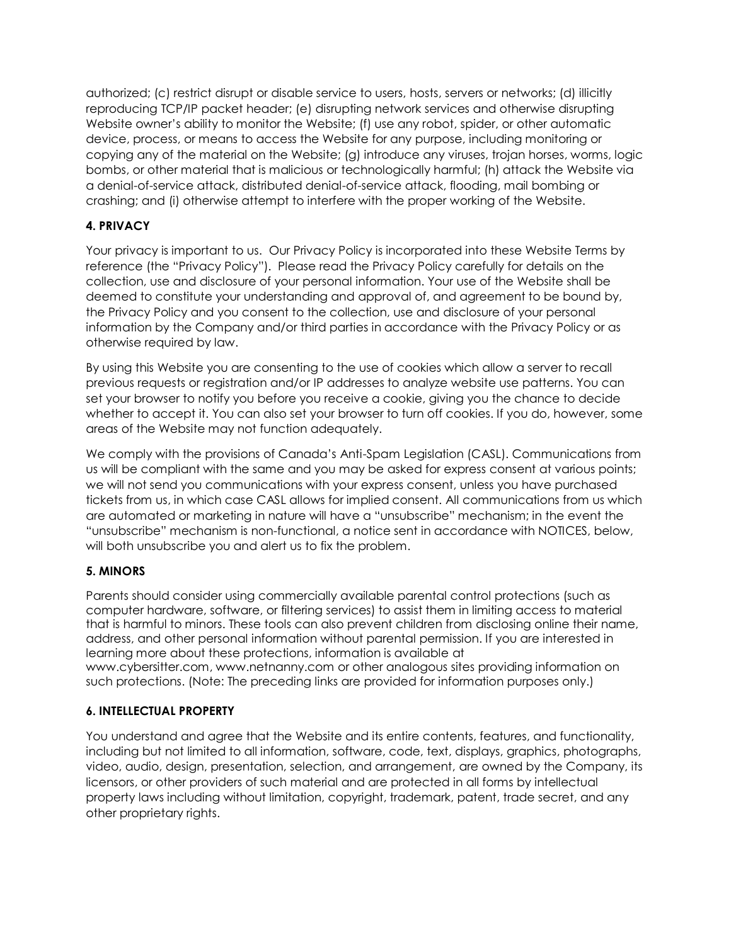authorized; (c) restrict disrupt or disable service to users, hosts, servers or networks; (d) illicitly reproducing TCP/IP packet header; (e) disrupting network services and otherwise disrupting Website owner's ability to monitor the Website; (f) use any robot, spider, or other automatic device, process, or means to access the Website for any purpose, including monitoring or copying any of the material on the Website; (g) introduce any viruses, trojan horses, worms, logic bombs, or other material that is malicious or technologically harmful; (h) attack the Website via a denial-of-service attack, distributed denial-of-service attack, flooding, mail bombing or crashing; and (i) otherwise attempt to interfere with the proper working of the Website.

# **4. PRIVACY**

Your privacy is important to us. Our [Privacy](http://www.cineplex.com/Global/PrivacyPolicy.aspx) Policy is incorporated into these Website Terms by reference (the "Privacy Policy"). Please read the Privacy Policy carefully for details on the collection, use and disclosure of your personal information. Your use of the Website shall be deemed to constitute your understanding and approval of, and agreement to be bound by, the Privacy Policy and you consent to the collection, use and disclosure of your personal information by the Company and/or third parties in accordance with the Privacy Policy or as otherwise required by law.

By using this Website you are consenting to the use of cookies which allow a server to recall previous requests or registration and/or IP addresses to analyze website use patterns. You can set your browser to notify you before you receive a cookie, giving you the chance to decide whether to accept it. You can also set your browser to turn off cookies. If you do, however, some areas of the Website may not function adequately.

We comply with the provisions of Canada's Anti-Spam Legislation (CASL). Communications from us will be compliant with the same and you may be asked for express consent at various points; we will not send you communications with your express consent, unless you have purchased tickets from us, in which case CASL allows for implied consent. All communications from us which are automated or marketing in nature will have a "unsubscribe" mechanism; in the event the "unsubscribe" mechanism is non-functional, a notice sent in accordance with NOTICES, below, will both unsubscribe you and alert us to fix the problem.

# **5. MINORS**

Parents should consider using commercially available parental control protections (such as computer hardware, software, or filtering services) to assist them in limiting access to material that is harmful to minors. These tools can also prevent children from disclosing online their name, address, and other personal information without parental permission. If you are interested in learning more about these protections, information is available at [www.cybersitter.com,](http://www.cybersitter.com/) [www.netnanny.com](http://www.netnanny.com/) or other analogous sites providing information on such protections. (Note: The preceding links are provided for information purposes only.)

## **6. INTELLECTUAL PROPERTY**

You understand and agree that the Website and its entire contents, features, and functionality, including but not limited to all information, software, code, text, displays, graphics, photographs, video, audio, design, presentation, selection, and arrangement, are owned by the Company, its licensors, or other providers of such material and are protected in all forms by intellectual property laws including without limitation, copyright, trademark, patent, trade secret, and any other proprietary rights.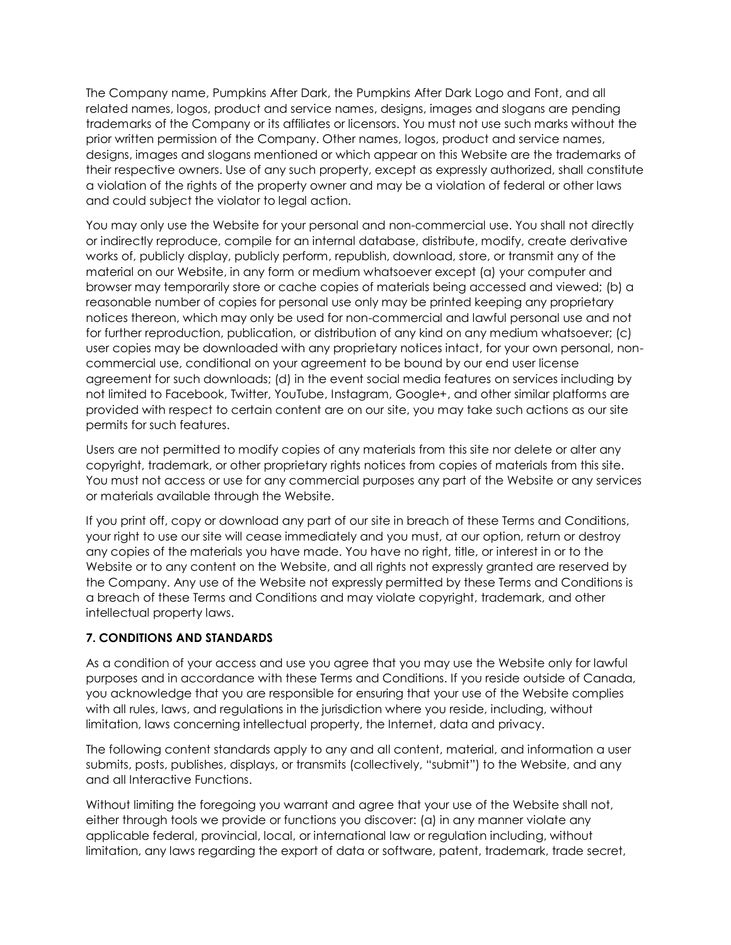The Company name, Pumpkins After Dark, the Pumpkins After Dark Logo and Font, and all related names, logos, product and service names, designs, images and slogans are pending trademarks of the Company or its affiliates or licensors. You must not use such marks without the prior written permission of the Company. Other names, logos, product and service names, designs, images and slogans mentioned or which appear on this Website are the trademarks of their respective owners. Use of any such property, except as expressly authorized, shall constitute a violation of the rights of the property owner and may be a violation of federal or other laws and could subject the violator to legal action.

You may only use the Website for your personal and non-commercial use. You shall not directly or indirectly reproduce, compile for an internal database, distribute, modify, create derivative works of, publicly display, publicly perform, republish, download, store, or transmit any of the material on our Website, in any form or medium whatsoever except (a) your computer and browser may temporarily store or cache copies of materials being accessed and viewed; (b) a reasonable number of copies for personal use only may be printed keeping any proprietary notices thereon, which may only be used for non-commercial and lawful personal use and not for further reproduction, publication, or distribution of any kind on any medium whatsoever; (c) user copies may be downloaded with any proprietary notices intact, for your own personal, noncommercial use, conditional on your agreement to be bound by our end user license agreement for such downloads; (d) in the event social media features on services including by not limited to Facebook, Twitter, YouTube, Instagram, Google+, and other similar platforms are provided with respect to certain content are on our site, you may take such actions as our site permits for such features.

Users are not permitted to modify copies of any materials from this site nor delete or alter any copyright, trademark, or other proprietary rights notices from copies of materials from this site. You must not access or use for any commercial purposes any part of the Website or any services or materials available through the Website.

If you print off, copy or download any part of our site in breach of these Terms and Conditions, your right to use our site will cease immediately and you must, at our option, return or destroy any copies of the materials you have made. You have no right, title, or interest in or to the Website or to any content on the Website, and all rights not expressly granted are reserved by the Company. Any use of the Website not expressly permitted by these Terms and Conditions is a breach of these Terms and Conditions and may violate copyright, trademark, and other intellectual property laws.

## **7. CONDITIONS AND STANDARDS**

As a condition of your access and use you agree that you may use the Website only for lawful purposes and in accordance with these Terms and Conditions. If you reside outside of Canada, you acknowledge that you are responsible for ensuring that your use of the Website complies with all rules, laws, and regulations in the jurisdiction where you reside, including, without limitation, laws concerning intellectual property, the Internet, data and privacy.

The following content standards apply to any and all content, material, and information a user submits, posts, publishes, displays, or transmits (collectively, "submit") to the Website, and any and all Interactive Functions.

Without limiting the foregoing you warrant and agree that your use of the Website shall not, either through tools we provide or functions you discover: (a) in any manner violate any applicable federal, provincial, local, or international law or regulation including, without limitation, any laws regarding the export of data or software, patent, trademark, trade secret,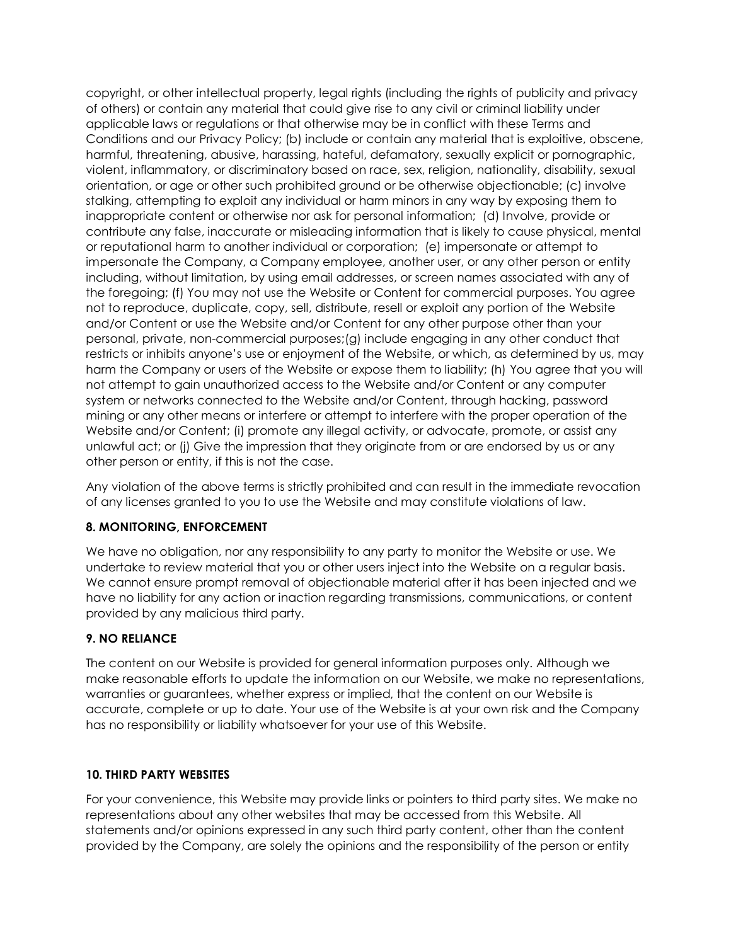copyright, or other intellectual property, legal rights (including the rights of publicity and privacy of others) or contain any material that could give rise to any civil or criminal liability under applicable laws or regulations or that otherwise may be in conflict with these Terms and Conditions and our Privacy Policy; (b) include or contain any material that is exploitive, obscene, harmful, threatening, abusive, harassing, hateful, defamatory, sexually explicit or pornographic, violent, inflammatory, or discriminatory based on race, sex, religion, nationality, disability, sexual orientation, or age or other such prohibited ground or be otherwise objectionable; (c) involve stalking, attempting to exploit any individual or harm minors in any way by exposing them to inappropriate content or otherwise nor ask for personal information; (d) Involve, provide or contribute any false, inaccurate or misleading information that is likely to cause physical, mental or reputational harm to another individual or corporation; (e) impersonate or attempt to impersonate the Company, a Company employee, another user, or any other person or entity including, without limitation, by using email addresses, or screen names associated with any of the foregoing; (f) You may not use the Website or Content for commercial purposes. You agree not to reproduce, duplicate, copy, sell, distribute, resell or exploit any portion of the Website and/or Content or use the Website and/or Content for any other purpose other than your personal, private, non-commercial purposes;(g) include engaging in any other conduct that restricts or inhibits anyone's use or enjoyment of the Website, or which, as determined by us, may harm the Company or users of the Website or expose them to liability; (h) You agree that you will not attempt to gain unauthorized access to the Website and/or Content or any computer system or networks connected to the Website and/or Content, through hacking, password mining or any other means or interfere or attempt to interfere with the proper operation of the Website and/or Content; (i) promote any illegal activity, or advocate, promote, or assist any unlawful act; or (j) Give the impression that they originate from or are endorsed by us or any other person or entity, if this is not the case.

Any violation of the above terms is strictly prohibited and can result in the immediate revocation of any licenses granted to you to use the Website and may constitute violations of law.

## **8. MONITORING, ENFORCEMENT**

We have no obligation, nor any responsibility to any party to monitor the Website or use. We undertake to review material that you or other users inject into the Website on a regular basis. We cannot ensure prompt removal of objectionable material after it has been injected and we have no liability for any action or inaction regarding transmissions, communications, or content provided by any malicious third party.

## **9. NO RELIANCE**

The content on our Website is provided for general information purposes only. Although we make reasonable efforts to update the information on our Website, we make no representations, warranties or guarantees, whether express or implied, that the content on our Website is accurate, complete or up to date. Your use of the Website is at your own risk and the Company has no responsibility or liability whatsoever for your use of this Website.

#### **10. THIRD PARTY WEBSITES**

For your convenience, this Website may provide links or pointers to third party sites. We make no representations about any other websites that may be accessed from this Website. All statements and/or opinions expressed in any such third party content, other than the content provided by the Company, are solely the opinions and the responsibility of the person or entity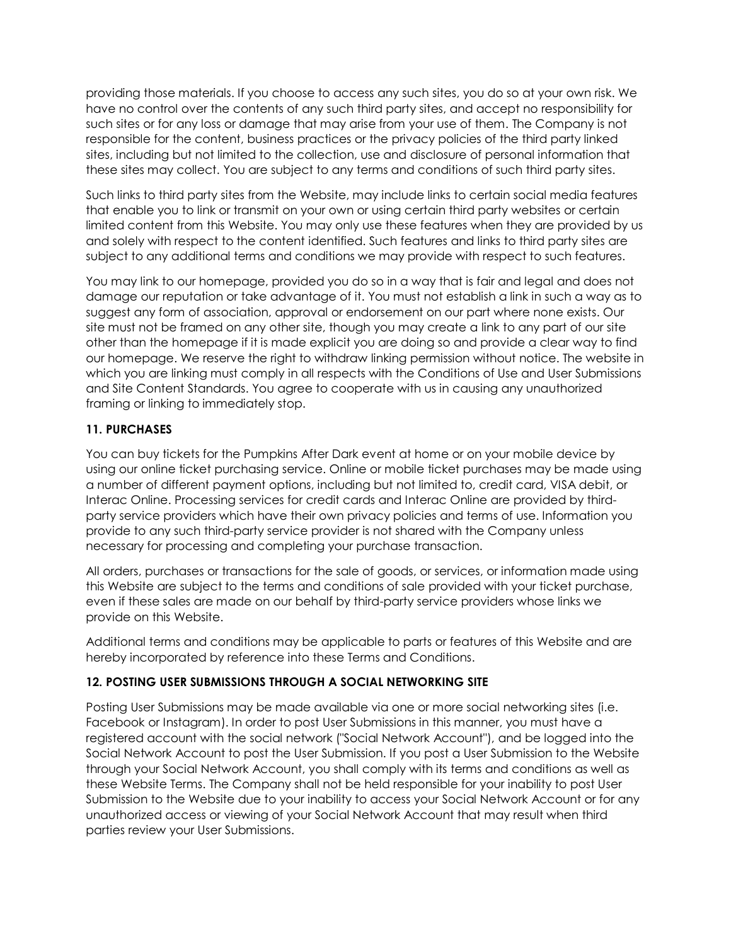providing those materials. If you choose to access any such sites, you do so at your own risk. We have no control over the contents of any such third party sites, and accept no responsibility for such sites or for any loss or damage that may arise from your use of them. The Company is not responsible for the content, business practices or the privacy policies of the third party linked sites, including but not limited to the collection, use and disclosure of personal information that these sites may collect. You are subject to any terms and conditions of such third party sites.

Such links to third party sites from the Website, may include links to certain social media features that enable you to link or transmit on your own or using certain third party websites or certain limited content from this Website. You may only use these features when they are provided by us and solely with respect to the content identified. Such features and links to third party sites are subject to any additional terms and conditions we may provide with respect to such features.

You may link to our homepage, provided you do so in a way that is fair and legal and does not damage our reputation or take advantage of it. You must not establish a link in such a way as to suggest any form of association, approval or endorsement on our part where none exists. Our site must not be framed on any other site, though you may create a link to any part of our site other than the homepage if it is made explicit you are doing so and provide a clear way to find our homepage. We reserve the right to withdraw linking permission without notice. The website in which you are linking must comply in all respects with the Conditions of Use and User Submissions and Site Content Standards. You agree to cooperate with us in causing any unauthorized framing or linking to immediately stop.

## **11. PURCHASES**

You can buy tickets for the Pumpkins After Dark event at home or on your mobile device by using our online ticket purchasing service. Online or mobile ticket purchases may be made using a number of different payment options, including but not limited to, credit card, VISA debit, or Interac Online. Processing services for credit cards and Interac Online are provided by thirdparty service providers which have their own privacy policies and terms of use. Information you provide to any such third-party service provider is not shared with the Company unless necessary for processing and completing your purchase transaction.

All orders, purchases or transactions for the sale of goods, or services, or information made using this Website are subject to the terms and conditions of sale provided with your ticket purchase, even if these sales are made on our behalf by third-party service providers whose links we provide on this Website.

Additional terms and conditions may be applicable to parts or features of this Website and are hereby incorporated by reference into these Terms and Conditions.

# **12. POSTING USER SUBMISSIONS THROUGH A SOCIAL NETWORKING SITE**

Posting User Submissions may be made available via one or more social networking sites (i.e. Facebook or Instagram). In order to post User Submissions in this manner, you must have a registered account with the social network ("Social Network Account"), and be logged into the Social Network Account to post the User Submission. If you post a User Submission to the Website through your Social Network Account, you shall comply with its terms and conditions as well as these Website Terms. The Company shall not be held responsible for your inability to post User Submission to the Website due to your inability to access your Social Network Account or for any unauthorized access or viewing of your Social Network Account that may result when third parties review your User Submissions.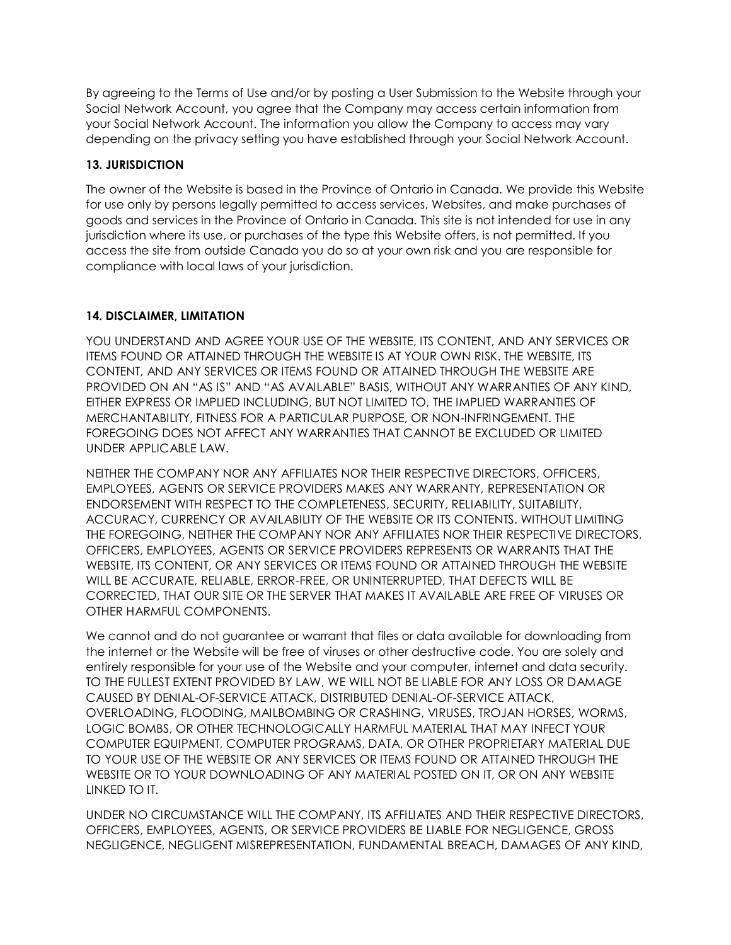By agreeing to the Terms of Use and/or by posting a User Submission to the Website through your Social Network Account, you agree that the Company may access certain information from your Social Network Account. The information you allow the Company to access may vary depending on the privacy setting you have established through your Social Network Account.

## **13. JURISDICTION**

The owner of the Website is based in the Province of Ontario in Canada. We provide this Website for use only by persons legally permitted to access services, Websites, and make purchases of goods and services in the Province of Ontario in Canada. This site is not intended for use in any jurisdiction where its use, or purchases of the type this Website offers, is not permitted. If you access the site from outside Canada you do so at your own risk and you are responsible for compliance with local laws of your jurisdiction.

# **14. DISCLAIMER, LIMITATION**

YOU UNDERSTAND AND AGREE YOUR USE OF THE WEBSITE, ITS CONTENT, AND ANY SERVICES OR ITEMS FOUND OR ATTAINED THROUGH THE WEBSITE IS AT YOUR OWN RISK. THE WEBSITE, ITS CONTENT, AND ANY SERVICES OR ITEMS FOUND OR ATTAINED THROUGH THE WEBSITE ARE PROVIDED ON AN "AS IS" AND "AS AVAILABLE" BASIS, WITHOUT ANY WARRANTIES OF ANY KIND, EITHER EXPRESS OR IMPLIED INCLUDING, BUT NOT LIMITED TO, THE IMPLIED WARRANTIES OF MERCHANTABILITY, FITNESS FOR A PARTICULAR PURPOSE, OR NON-INFRINGEMENT. THE FOREGOING DOES NOT AFFECT ANY WARRANTIES THAT CANNOT BE EXCLUDED OR LIMITED UNDER APPLICABLE LAW.

NEITHER THE COMPANY NOR ANY AFFILIATES NOR THEIR RESPECTIVE DIRECTORS, OFFICERS, EMPLOYEES, AGENTS OR SERVICE PROVIDERS MAKES ANY WARRANTY, REPRESENTATION OR ENDORSEMENT WITH RESPECT TO THE COMPLETENESS, SECURITY, RELIABILITY, SUITABILITY, ACCURACY, CURRENCY OR AVAILABILITY OF THE WEBSITE OR ITS CONTENTS. WITHOUT LIMITING THE FOREGOING, NEITHER THE COMPANY NOR ANY AFFILIATES NOR THEIR RESPECTIVE DIRECTORS, OFFICERS, EMPLOYEES, AGENTS OR SERVICE PROVIDERS REPRESENTS OR WARRANTS THAT THE WEBSITE, ITS CONTENT, OR ANY SERVICES OR ITEMS FOUND OR ATTAINED THROUGH THE WEBSITE WILL BE ACCURATE, RELIABLE, ERROR-FREE, OR UNINTERRUPTED, THAT DEFECTS WILL BE CORRECTED, THAT OUR SITE OR THE SERVER THAT MAKES IT AVAILABLE ARE FREE OF VIRUSES OR OTHER HARMFUL COMPONENTS.

We cannot and do not guarantee or warrant that files or data available for downloading from the internet or the Website will be free of viruses or other destructive code. You are solely and entirely responsible for your use of the Website and your computer, internet and data security. TO THE FULLEST EXTENT PROVIDED BY LAW, WE WILL NOT BE LIABLE FOR ANY LOSS OR DAMAGE CAUSED BY DENIAL-OF-SERVICE ATTACK, DISTRIBUTED DENIAL-OF-SERVICE ATTACK, OVERLOADING, FLOODING, MAILBOMBING OR CRASHING, VIRUSES, TROJAN HORSES, WORMS, LOGIC BOMBS, OR OTHER TECHNOLOGICALLY HARMFUL MATERIAL THAT MAY INFECT YOUR COMPUTER EQUIPMENT, COMPUTER PROGRAMS, DATA, OR OTHER PROPRIETARY MATERIAL DUE TO YOUR USE OF THE WEBSITE OR ANY SERVICES OR ITEMS FOUND OR ATTAINED THROUGH THE WEBSITE OR TO YOUR DOWNLOADING OF ANY MATERIAL POSTED ON IT, OR ON ANY WEBSITE LINKED TO IT.

UNDER NO CIRCUMSTANCE WILL THE COMPANY, ITS AFFILIATES AND THEIR RESPECTIVE DIRECTORS, OFFICERS, EMPLOYEES, AGENTS, OR SERVICE PROVIDERS BE LIABLE FOR NEGLIGENCE, GROSS NEGLIGENCE, NEGLIGENT MISREPRESENTATION, FUNDAMENTAL BREACH, DAMAGES OF ANY KIND,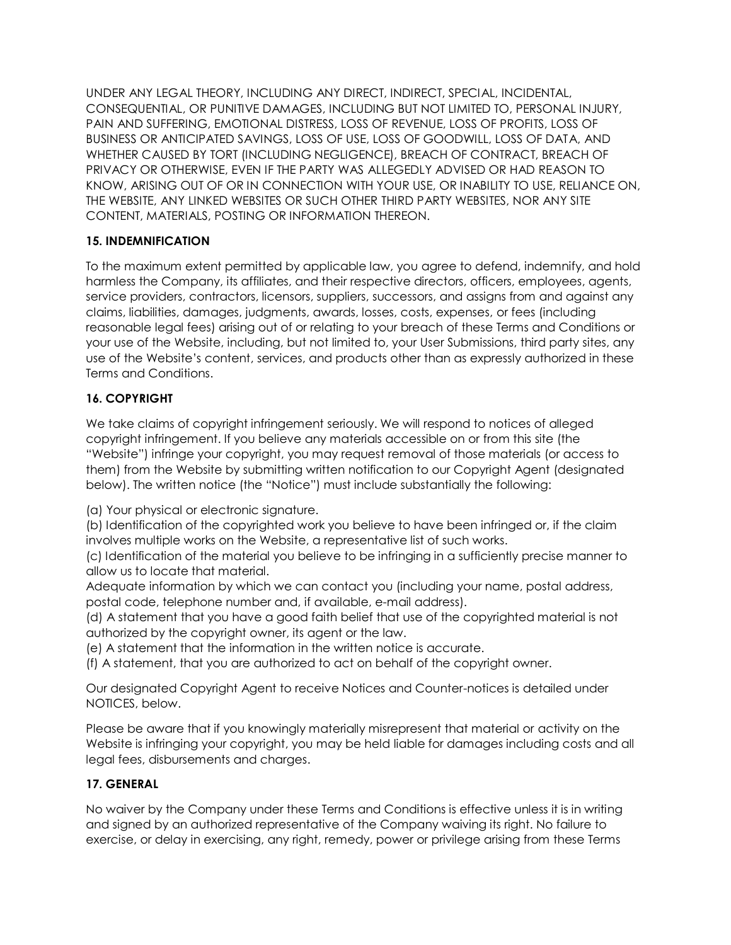UNDER ANY LEGAL THEORY, INCLUDING ANY DIRECT, INDIRECT, SPECIAL, INCIDENTAL, CONSEQUENTIAL, OR PUNITIVE DAMAGES, INCLUDING BUT NOT LIMITED TO, PERSONAL INJURY, PAIN AND SUFFERING, EMOTIONAL DISTRESS, LOSS OF REVENUE, LOSS OF PROFITS, LOSS OF BUSINESS OR ANTICIPATED SAVINGS, LOSS OF USE, LOSS OF GOODWILL, LOSS OF DATA, AND WHETHER CAUSED BY TORT (INCLUDING NEGLIGENCE), BREACH OF CONTRACT, BREACH OF PRIVACY OR OTHERWISE, EVEN IF THE PARTY WAS ALLEGEDLY ADVISED OR HAD REASON TO KNOW, ARISING OUT OF OR IN CONNECTION WITH YOUR USE, OR INABILITY TO USE, RELIANCE ON, THE WEBSITE, ANY LINKED WEBSITES OR SUCH OTHER THIRD PARTY WEBSITES, NOR ANY SITE CONTENT, MATERIALS, POSTING OR INFORMATION THEREON.

## **15. INDEMNIFICATION**

To the maximum extent permitted by applicable law, you agree to defend, indemnify, and hold harmless the Company, its affiliates, and their respective directors, officers, employees, agents, service providers, contractors, licensors, suppliers, successors, and assigns from and against any claims, liabilities, damages, judgments, awards, losses, costs, expenses, or fees (including reasonable legal fees) arising out of or relating to your breach of these Terms and Conditions or your use of the Website, including, but not limited to, your User Submissions, third party sites, any use of the Website's content, services, and products other than as expressly authorized in these Terms and Conditions.

# **16. COPYRIGHT**

We take claims of copyright infringement seriously. We will respond to notices of alleged copyright infringement. If you believe any materials accessible on or from this site (the "Website") infringe your copyright, you may request removal of those materials (or access to them) from the Website by submitting written notification to our Copyright Agent (designated below). The written notice (the "Notice") must include substantially the following:

(a) Your physical or electronic signature.

(b) Identification of the copyrighted work you believe to have been infringed or, if the claim involves multiple works on the Website, a representative list of such works.

(c) Identification of the material you believe to be infringing in a sufficiently precise manner to allow us to locate that material.

Adequate information by which we can contact you (including your name, postal address, postal code, telephone number and, if available, e-mail address).

(d) A statement that you have a good faith belief that use of the copyrighted material is not authorized by the copyright owner, its agent or the law.

(e) A statement that the information in the written notice is accurate.

(f) A statement, that you are authorized to act on behalf of the copyright owner.

Our designated Copyright Agent to receive Notices and Counter-notices is detailed under NOTICES, below.

Please be aware that if you knowingly materially misrepresent that material or activity on the Website is infringing your copyright, you may be held liable for damages including costs and all legal fees, disbursements and charges.

# **17. GENERAL**

No waiver by the Company under these Terms and Conditions is effective unless it is in writing and signed by an authorized representative of the Company waiving its right. No failure to exercise, or delay in exercising, any right, remedy, power or privilege arising from these Terms